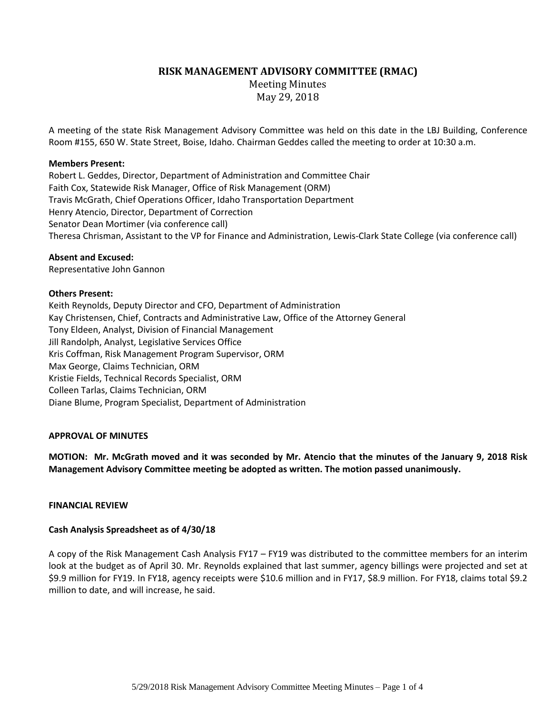# **RISK MANAGEMENT ADVISORY COMMITTEE (RMAC)**

Meeting Minutes May 29, 2018

A meeting of the state Risk Management Advisory Committee was held on this date in the LBJ Building, Conference Room #155, 650 W. State Street, Boise, Idaho. Chairman Geddes called the meeting to order at 10:30 a.m.

## **Members Present:**

Robert L. Geddes, Director, Department of Administration and Committee Chair Faith Cox, Statewide Risk Manager, Office of Risk Management (ORM) Travis McGrath, Chief Operations Officer, Idaho Transportation Department Henry Atencio, Director, Department of Correction Senator Dean Mortimer (via conference call) Theresa Chrisman, Assistant to the VP for Finance and Administration, Lewis-Clark State College (via conference call)

## **Absent and Excused:**

Representative John Gannon

# **Others Present:**

Keith Reynolds, Deputy Director and CFO, Department of Administration Kay Christensen, Chief, Contracts and Administrative Law, Office of the Attorney General Tony Eldeen, Analyst, Division of Financial Management Jill Randolph, Analyst, Legislative Services Office Kris Coffman, Risk Management Program Supervisor, ORM Max George, Claims Technician, ORM Kristie Fields, Technical Records Specialist, ORM Colleen Tarlas, Claims Technician, ORM Diane Blume, Program Specialist, Department of Administration

# **APPROVAL OF MINUTES**

**MOTION: Mr. McGrath moved and it was seconded by Mr. Atencio that the minutes of the January 9, 2018 Risk Management Advisory Committee meeting be adopted as written. The motion passed unanimously.**

# **FINANCIAL REVIEW**

# **Cash Analysis Spreadsheet as of 4/30/18**

A copy of the Risk Management Cash Analysis FY17 – FY19 was distributed to the committee members for an interim look at the budget as of April 30. Mr. Reynolds explained that last summer, agency billings were projected and set at \$9.9 million for FY19. In FY18, agency receipts were \$10.6 million and in FY17, \$8.9 million. For FY18, claims total \$9.2 million to date, and will increase, he said.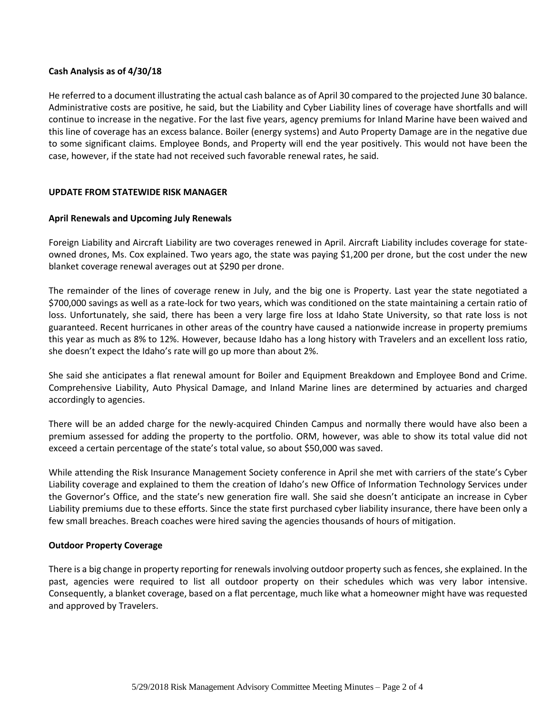## **Cash Analysis as of 4/30/18**

He referred to a document illustrating the actual cash balance as of April 30 compared to the projected June 30 balance. Administrative costs are positive, he said, but the Liability and Cyber Liability lines of coverage have shortfalls and will continue to increase in the negative. For the last five years, agency premiums for Inland Marine have been waived and this line of coverage has an excess balance. Boiler (energy systems) and Auto Property Damage are in the negative due to some significant claims. Employee Bonds, and Property will end the year positively. This would not have been the case, however, if the state had not received such favorable renewal rates, he said.

# **UPDATE FROM STATEWIDE RISK MANAGER**

## **April Renewals and Upcoming July Renewals**

Foreign Liability and Aircraft Liability are two coverages renewed in April. Aircraft Liability includes coverage for stateowned drones, Ms. Cox explained. Two years ago, the state was paying \$1,200 per drone, but the cost under the new blanket coverage renewal averages out at \$290 per drone.

The remainder of the lines of coverage renew in July, and the big one is Property. Last year the state negotiated a \$700,000 savings as well as a rate-lock for two years, which was conditioned on the state maintaining a certain ratio of loss. Unfortunately, she said, there has been a very large fire loss at Idaho State University, so that rate loss is not guaranteed. Recent hurricanes in other areas of the country have caused a nationwide increase in property premiums this year as much as 8% to 12%. However, because Idaho has a long history with Travelers and an excellent loss ratio, she doesn't expect the Idaho's rate will go up more than about 2%.

She said she anticipates a flat renewal amount for Boiler and Equipment Breakdown and Employee Bond and Crime. Comprehensive Liability, Auto Physical Damage, and Inland Marine lines are determined by actuaries and charged accordingly to agencies.

There will be an added charge for the newly-acquired Chinden Campus and normally there would have also been a premium assessed for adding the property to the portfolio. ORM, however, was able to show its total value did not exceed a certain percentage of the state's total value, so about \$50,000 was saved.

While attending the Risk Insurance Management Society conference in April she met with carriers of the state's Cyber Liability coverage and explained to them the creation of Idaho's new Office of Information Technology Services under the Governor's Office, and the state's new generation fire wall. She said she doesn't anticipate an increase in Cyber Liability premiums due to these efforts. Since the state first purchased cyber liability insurance, there have been only a few small breaches. Breach coaches were hired saving the agencies thousands of hours of mitigation.

#### **Outdoor Property Coverage**

There is a big change in property reporting for renewals involving outdoor property such as fences, she explained. In the past, agencies were required to list all outdoor property on their schedules which was very labor intensive. Consequently, a blanket coverage, based on a flat percentage, much like what a homeowner might have was requested and approved by Travelers.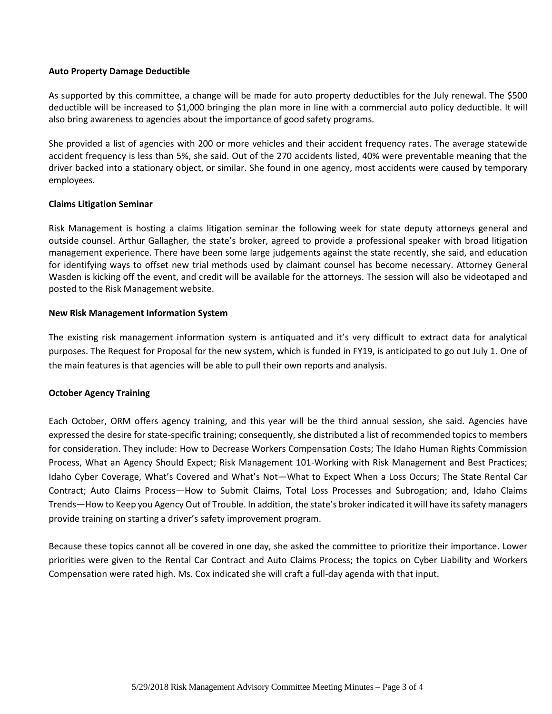#### **Auto Property Damage Deductible**

As supported by this committee, a change will be made for auto property deductibles for the July renewal. The \$500 deductible will be increased to \$1,000 bringing the plan more in line with a commercial auto policy deductible. It will also bring awareness to agencies about the importance of good safety programs.

She provided a list of agencies with 200 or more vehicles and their accident frequency rates. The average statewide accident frequency is less than 5%, she said. Out of the 270 accidents listed, 40% were preventable meaning that the driver backed into a stationary object, or similar. She found in one agency, most accidents were caused by temporary employees.

# **Claims Litigation Seminar**

Risk Management is hosting a claims litigation seminar the following week for state deputy attorneys general and outside counsel. Arthur Gallagher, the state's broker, agreed to provide a professional speaker with broad litigation management experience. There have been some large judgements against the state recently, she said, and education for identifying ways to offset new trial methods used by claimant counsel has become necessary. Attorney General Wasden is kicking off the event, and credit will be available for the attorneys. The session will also be videotaped and posted to the Risk Management website.

## **New Risk Management Information System**

The existing risk management information system is antiquated and it's very difficult to extract data for analytical purposes. The Request for Proposal for the new system, which is funded in FY19, is anticipated to go out July 1. One of the main features is that agencies will be able to pull their own reports and analysis.

# **October Agency Training**

Each October, ORM offers agency training, and this year will be the third annual session, she said. Agencies have expressed the desire for state-specific training; consequently, she distributed a list of recommended topics to members for consideration. They include: How to Decrease Workers Compensation Costs; The Idaho Human Rights Commission Process, What an Agency Should Expect; Risk Management 101-Working with Risk Management and Best Practices; Idaho Cyber Coverage, What's Covered and What's Not—What to Expect When a Loss Occurs; The State Rental Car Contract; Auto Claims Process—How to Submit Claims, Total Loss Processes and Subrogation; and, Idaho Claims Trends—How to Keep you Agency Out of Trouble. In addition, the state's broker indicated it will have itssafety managers provide training on starting a driver's safety improvement program.

Because these topics cannot all be covered in one day, she asked the committee to prioritize their importance. Lower priorities were given to the Rental Car Contract and Auto Claims Process; the topics on Cyber Liability and Workers Compensation were rated high. Ms. Cox indicated she will craft a full-day agenda with that input.